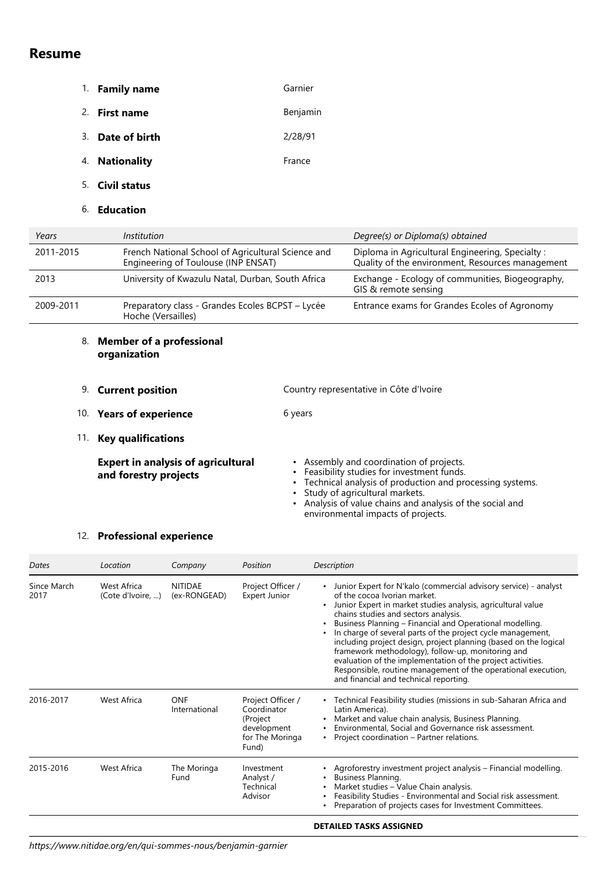# **Resume**

- 1. **Family name Garnier**
- 2. **First name Benjamin**
- 3. **Date of birth** 2/28/91
- 4. **Nationality France**
- 5. **Civil status**
- 6. **Education**

| Years     | <i>Institution</i>                                                                        | Degree(s) or Diploma(s) obtained                                                                    |
|-----------|-------------------------------------------------------------------------------------------|-----------------------------------------------------------------------------------------------------|
| 2011-2015 | French National School of Agricultural Science and<br>Engineering of Toulouse (INP ENSAT) | Diploma in Agricultural Engineering, Specialty:<br>Quality of the environment, Resources management |
| 2013      | University of Kwazulu Natal, Durban, South Africa                                         | Exchange - Ecology of communities, Biogeography,<br>GIS & remote sensing                            |
| 2009-2011 | Preparatory class - Grandes Ecoles BCPST - Lycée<br>Hoche (Versailles)                    | Entrance exams for Grandes Ecoles of Agronomy                                                       |
|           |                                                                                           |                                                                                                     |

## 8. **Member of a professional organization**

- 9. **Current position** Country representative in Côte d'Ivoire
- 10. Years of experience **6** 6 years
- 11. **Key qualifications**

| <b>Expert in analysis of agricultural</b> | $\cdot$ Ass |
|-------------------------------------------|-------------|
| and forestry projects                     | $\cdot$ Fea |
|                                           | ، Τ۵        |

- sembly and coordination of projects.
- asibility studies for investment funds.
- Technical analysis of production and processing systems. •
- Study of agricultural markets. •
- Analysis of value chains and analysis of the social and environmental impacts of projects.

# 12. **Professional experience**

| Dates               | Location                         | Company                        | Position                                                                                | Description                                                                                                                                                                                                                                                                                                                                                                                                                                                                                                                                                                                                                            |
|---------------------|----------------------------------|--------------------------------|-----------------------------------------------------------------------------------------|----------------------------------------------------------------------------------------------------------------------------------------------------------------------------------------------------------------------------------------------------------------------------------------------------------------------------------------------------------------------------------------------------------------------------------------------------------------------------------------------------------------------------------------------------------------------------------------------------------------------------------------|
| Since March<br>2017 | West Africa<br>(Cote d'Ivoire, ) | <b>NITIDAE</b><br>(ex-RONGEAD) | Project Officer /<br>Expert Junior                                                      | Junior Expert for N'kalo (commercial advisory service) - analyst<br>of the cocoa Ivorian market.<br>Junior Expert in market studies analysis, agricultural value<br>chains studies and sectors analysis.<br>Business Planning - Financial and Operational modelling.<br>In charge of several parts of the project cycle management,<br>including project design, project planning (based on the logical<br>framework methodology), follow-up, monitoring and<br>evaluation of the implementation of the project activities.<br>Responsible, routine management of the operational execution,<br>and financial and technical reporting. |
| 2016-2017           | West Africa                      | ONF<br>International           | Project Officer /<br>Coordinator<br>(Project<br>development<br>for The Moringa<br>Fund) | • Technical Feasibility studies (missions in sub-Saharan Africa and<br>Latin America).<br>Market and value chain analysis, Business Planning.<br>Environmental, Social and Governance risk assessment.<br>Project coordination – Partner relations.<br>$\bullet$                                                                                                                                                                                                                                                                                                                                                                       |
| 2015-2016           | West Africa                      | The Moringa<br>Fund            | Investment<br>Analyst /<br>Technical<br>Advisor                                         | Agroforestry investment project analysis - Financial modelling.<br>Business Planning.<br>Market studies - Value Chain analysis.<br>Feasibility Studies - Environmental and Social risk assessment.<br>Preparation of projects cases for Investment Committees.                                                                                                                                                                                                                                                                                                                                                                         |

### **DETAILED TASKS ASSIGNED**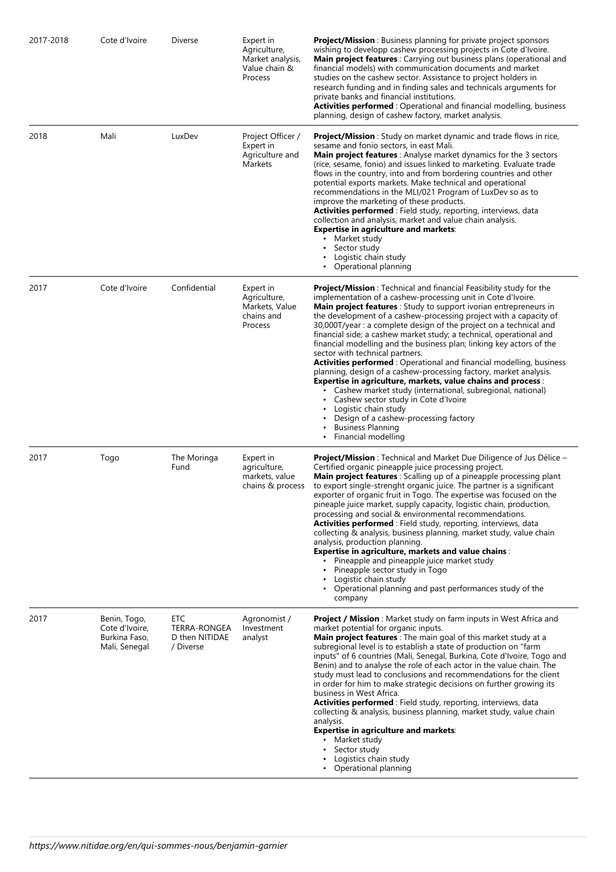| 2017-2018 | Cote d'Ivoire                                                    | Diverse                                                   | Expert in<br>Agriculture,<br>Market analysis,<br>Value chain &<br>Process | <b>Project/Mission</b> : Business planning for private project sponsors<br>wishing to developp cashew processing projects in Cote d'Ivoire.<br>Main project features : Carrying out business plans (operational and<br>financial models) with communication documents and market<br>studies on the cashew sector. Assistance to project holders in<br>research funding and in finding sales and technicals arguments for<br>private banks and financial institutions.<br><b>Activities performed</b> : Operational and financial modelling, business<br>planning, design of cashew factory, market analysis.                                                                                                                                                                                                                                                                                                                                                                                     |
|-----------|------------------------------------------------------------------|-----------------------------------------------------------|---------------------------------------------------------------------------|--------------------------------------------------------------------------------------------------------------------------------------------------------------------------------------------------------------------------------------------------------------------------------------------------------------------------------------------------------------------------------------------------------------------------------------------------------------------------------------------------------------------------------------------------------------------------------------------------------------------------------------------------------------------------------------------------------------------------------------------------------------------------------------------------------------------------------------------------------------------------------------------------------------------------------------------------------------------------------------------------|
| 2018      | Mali                                                             | LuxDev                                                    | Project Officer /<br>Expert in<br>Agriculture and<br><b>Markets</b>       | <b>Project/Mission</b> : Study on market dynamic and trade flows in rice,<br>sesame and fonio sectors, in east Mali.<br><b>Main project features</b> : Analyse market dynamics for the 3 sectors<br>(rice, sesame, fonio) and issues linked to marketing. Evaluate trade<br>flows in the country, into and from bordering countries and other<br>potential exports markets. Make technical and operational<br>recommendations in the MLI/021 Program of LuxDev so as to<br>improve the marketing of these products.<br>Activities performed : Field study, reporting, interviews, data<br>collection and analysis, market and value chain analysis.<br><b>Expertise in agriculture and markets:</b><br>• Market study<br>Sector study<br>$\bullet$<br>Logistic chain study<br>• Operational planning                                                                                                                                                                                             |
| 2017      | Cote d'Ivoire                                                    | Confidential                                              | Expert in<br>Agriculture,<br>Markets, Value<br>chains and<br>Process      | <b>Project/Mission</b> : Technical and financial Feasibility study for the<br>implementation of a cashew-processing unit in Cote d'Ivoire.<br>Main project features : Study to support ivorian entrepreneurs in<br>the development of a cashew-processing project with a capacity of<br>30,000T/year : a complete design of the project on a technical and<br>financial side; a cashew market study; a technical, operational and<br>financial modelling and the business plan; linking key actors of the<br>sector with technical partners.<br>Activities performed: Operational and financial modelling, business<br>planning, design of a cashew-processing factory, market analysis.<br><b>Expertise in agriculture, markets, value chains and process:</b><br>• Cashew market study (international, subregional, national)<br>Cashew sector study in Cote d'Ivoire<br>٠<br>Logistic chain study<br>Design of a cashew-processing factory<br><b>Business Planning</b><br>Financial modelling |
| 2017      | Togo                                                             | The Moringa<br>Fund                                       | Expert in<br>agriculture,<br>markets, value<br>chains & process           | <b>Project/Mission</b> : Technical and Market Due Diligence of Jus Délice -<br>Certified organic pineapple juice processing project.<br>Main project features : Scalling up of a pineapple processing plant<br>to export single-strenght organic juice. The partner is a significant<br>exporter of organic fruit in Togo. The expertise was focused on the<br>pineaple juice market, supply capacity, logistic chain, production,<br>processing and social & environmental recommendations.<br>Activities performed: Field study, reporting, interviews, data<br>collecting & analysis, business planning, market study, value chain<br>analysis, production planning.<br><b>Expertise in agriculture, markets and value chains:</b><br>Pineapple and pineapple juice market study<br>Pineapple sector study in Togo<br>Logistic chain study<br>• Operational planning and past performances study of the<br>company                                                                            |
| 2017      | Benin, Togo,<br>Cote d'Ivoire,<br>Burkina Faso,<br>Mali, Senegal | ETC<br><b>TERRA-RONGEA</b><br>D then NITIDAE<br>/ Diverse | Agronomist /<br>Investment<br>analyst                                     | <b>Project / Mission</b> : Market study on farm inputs in West Africa and<br>market potential for organic inputs.<br>Main project features : The main goal of this market study at a<br>subregional level is to establish a state of production on "farm<br>inputs" of 6 countries (Mali, Senegal, Burkina, Cote d'Ivoire, Togo and<br>Benin) and to analyse the role of each actor in the value chain. The<br>study must lead to conclusions and recommendations for the client<br>in order for him to make strategic decisions on further growing its<br>business in West Africa.<br>Activities performed : Field study, reporting, interviews, data<br>collecting & analysis, business planning, market study, value chain<br>analysis.<br><b>Expertise in agriculture and markets:</b><br>Market study<br>Sector study<br>Logistics chain study<br>Operational planning                                                                                                                      |